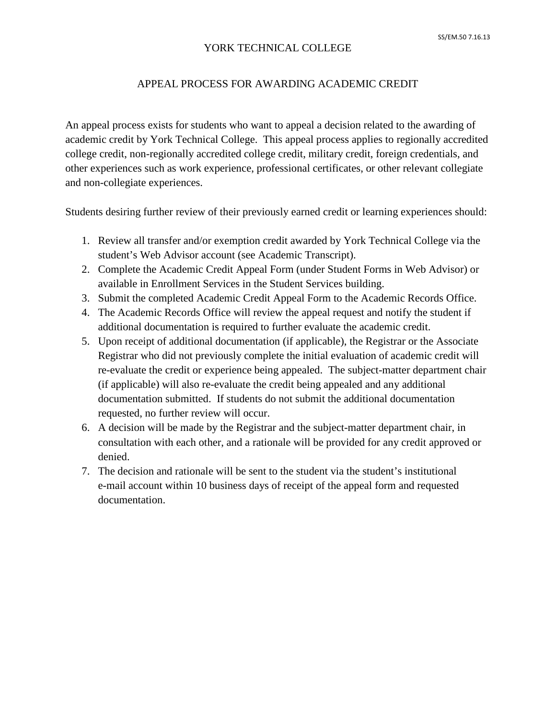## YORK TECHNICAL COLLEGE

## APPEAL PROCESS FOR AWARDING ACADEMIC CREDIT

An appeal process exists for students who want to appeal a decision related to the awarding of academic credit by York Technical College. This appeal process applies to regionally accredited college credit, non-regionally accredited college credit, military credit, foreign credentials, and other experiences such as work experience, professional certificates, or other relevant collegiate and non-collegiate experiences.

Students desiring further review of their previously earned credit or learning experiences should:

- 1. Review all transfer and/or exemption credit awarded by York Technical College via the student's Web Advisor account (see Academic Transcript).
- 2. Complete the Academic Credit Appeal Form (under Student Forms in Web Advisor) or available in Enrollment Services in the Student Services building.
- 3. Submit the completed Academic Credit Appeal Form to the Academic Records Office.
- 4. The Academic Records Office will review the appeal request and notify the student if additional documentation is required to further evaluate the academic credit.
- 5. Upon receipt of additional documentation (if applicable), the Registrar or the Associate Registrar who did not previously complete the initial evaluation of academic credit will re-evaluate the credit or experience being appealed. The subject-matter department chair (if applicable) will also re-evaluate the credit being appealed and any additional documentation submitted. If students do not submit the additional documentation requested, no further review will occur.
- 6. A decision will be made by the Registrar and the subject-matter department chair, in consultation with each other, and a rationale will be provided for any credit approved or denied.
- 7. The decision and rationale will be sent to the student via the student's institutional e-mail account within 10 business days of receipt of the appeal form and requested documentation.